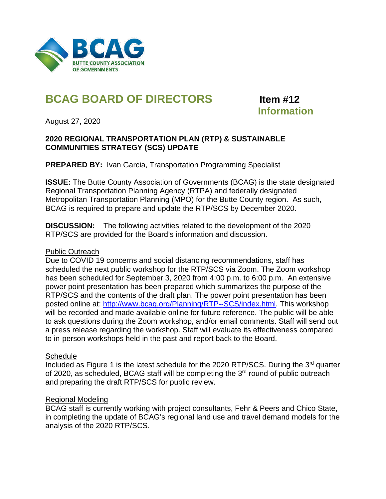

## **BCAG BOARD OF DIRECTORS Item #12**

# **Information**

August 27, 2020

#### **2020 REGIONAL TRANSPORTATION PLAN (RTP) & SUSTAINABLE COMMUNITIES STRATEGY (SCS) UPDATE**

**PREPARED BY: Ivan Garcia, Transportation Programming Specialist** 

**ISSUE:** The Butte County Association of Governments (BCAG) is the state designated Regional Transportation Planning Agency (RTPA) and federally designated Metropolitan Transportation Planning (MPO) for the Butte County region. As such, BCAG is required to prepare and update the RTP/SCS by December 2020.

**DISCUSSION:** The following activities related to the development of the 2020 RTP/SCS are provided for the Board's information and discussion.

#### Public Outreach

Due to COVID 19 concerns and social distancing recommendations, staff has scheduled the next public workshop for the RTP/SCS via Zoom. The Zoom workshop has been scheduled for September 3, 2020 from 4:00 p.m. to 6:00 p.m. An extensive power point presentation has been prepared which summarizes the purpose of the RTP/SCS and the contents of the draft plan. The power point presentation has been posted online at: [http://www.bcag.org/Planning/RTP--SCS/index.html.](http://www.bcag.org/Planning/RTP--SCS/index.html) This workshop will be recorded and made available online for future reference. The public will be able to ask questions during the Zoom workshop, and/or email comments. Staff will send out a press release regarding the workshop. Staff will evaluate its effectiveness compared to in-person workshops held in the past and report back to the Board.

#### **Schedule**

Included as Figure 1 is the latest schedule for the 2020 RTP/SCS. During the 3rd quarter of 2020, as scheduled, BCAG staff will be completing the 3<sup>rd</sup> round of public outreach and preparing the draft RTP/SCS for public review.

#### Regional Modeling

BCAG staff is currently working with project consultants, Fehr & Peers and Chico State, in completing the update of BCAG's regional land use and travel demand models for the analysis of the 2020 RTP/SCS.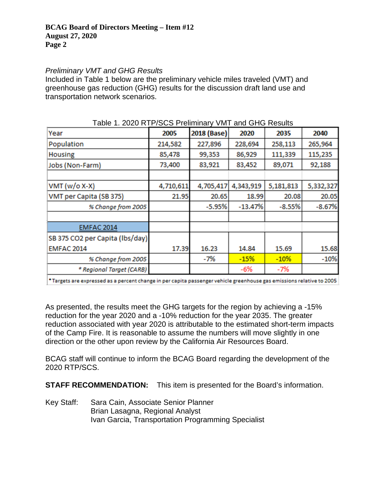#### *Preliminary VMT and GHG Results*

Included in Table 1 below are the preliminary vehicle miles traveled (VMT) and greenhouse gas reduction (GHG) results for the discussion draft land use and transportation network scenarios.

| Table T. 2020 INTERVISION FIGHTHIRITY VINT AND OFICITIONS |           |             |           |           |           |  |
|-----------------------------------------------------------|-----------|-------------|-----------|-----------|-----------|--|
| Year                                                      | 2005      | 2018 (Base) | 2020      | 2035      | 2040      |  |
| Population                                                | 214,582   | 227,896     | 228,694   | 258,113   | 265,964   |  |
| <b>Housing</b>                                            | 85,478    | 99,353      | 86,929    | 111,339   | 115,235   |  |
| Jobs (Non-Farm)                                           | 73,400    | 83,921      | 83,452    | 89,071    | 92,188    |  |
|                                                           |           |             |           |           |           |  |
| $VMT (w/o X-X)$                                           | 4,710,611 | 4,705,417   | 4,343,919 | 5,181,813 | 5,332,327 |  |
| VMT per Capita (SB 375)                                   | 21.95     | 20.65       | 18.99     | 20.08     | 20.05     |  |
| % Change from 2005                                        |           | $-5.95%$    | $-13.47%$ | $-8.55%$  | $-8.67%$  |  |
|                                                           |           |             |           |           |           |  |
| <b>EMFAC 2014</b>                                         |           |             |           |           |           |  |
| SB 375 CO2 per Capita (lbs/day)                           |           |             |           |           |           |  |
| <b>EMFAC 2014</b>                                         | 17.39     | 16.23       | 14.84     | 15.69     | 15.68     |  |
| % Change from 2005                                        |           | -7%         | $-15%$    | $-10%$    | $-10%$    |  |
| * Regional Target (CARB)                                  |           |             | -6%       | -7%       |           |  |
|                                                           |           |             |           |           |           |  |

#### Table 1. 2020 RTP/SCS Preliminary VMT and GHG Results

+ Targets are expressed as a percent change in per capita passenger vehicle greenhouse gas emissions relative to 2005

As presented, the results meet the GHG targets for the region by achieving a -15% reduction for the year 2020 and a -10% reduction for the year 2035. The greater reduction associated with year 2020 is attributable to the estimated short-term impacts of the Camp Fire. It is reasonable to assume the numbers will move slightly in one direction or the other upon review by the California Air Resources Board.

BCAG staff will continue to inform the BCAG Board regarding the development of the 2020 RTP/SCS.

**STAFF RECOMMENDATION:** This item is presented for the Board's information.

Key Staff: Sara Cain, Associate Senior Planner Brian Lasagna, Regional Analyst Ivan Garcia, Transportation Programming Specialist